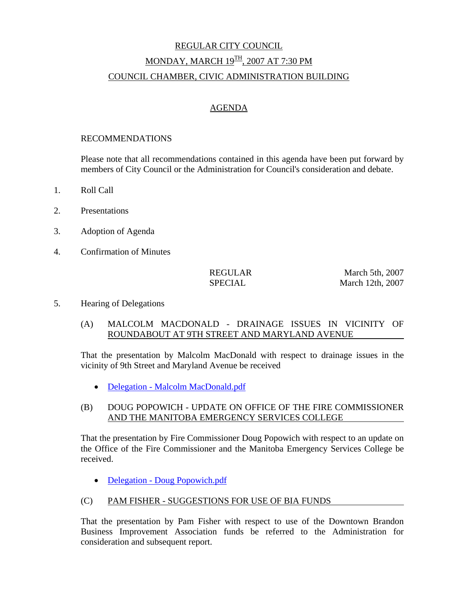# REGULAR CITY COUNCIL MONDAY, MARCH 19<sup>TH</sup>, 2007 AT 7:30 PM COUNCIL CHAMBER, CIVIC ADMINISTRATION BUILDING

# AGENDA

#### RECOMMENDATIONS

Please note that all recommendations contained in this agenda have been put forward by members of City Council or the Administration for Council's consideration and debate.

- 1. Roll Call
- 2. Presentations
- 3. Adoption of Agenda
- 4. Confirmation of Minutes

REGULAR March 5th, 2007 SPECIAL March 12th, 2007

- 5. Hearing of Delegations
	- (A) MALCOLM MACDONALD DRAINAGE ISSUES IN VICINITY OF ROUNDABOUT AT 9TH STREET AND MARYLAND AVENUE

That the presentation by Malcolm MacDonald with respect to drainage issues in the vicinity of 9th Street and Maryland Avenue be received

• Delegation - Malcolm MacDonald.pdf

# (B) DOUG POPOWICH - UPDATE ON OFFICE OF THE FIRE COMMISSIONER AND THE MANITOBA EMERGENCY SERVICES COLLEGE

That the presentation by Fire Commissioner Doug Popowich with respect to an update on the Office of the Fire Commissioner and the Manitoba Emergency Services College be received.

• Delegation - Doug Popowich.pdf

# (C) PAM FISHER - SUGGESTIONS FOR USE OF BIA FUNDS

That the presentation by Pam Fisher with respect to use of the Downtown Brandon Business Improvement Association funds be referred to the Administration for consideration and subsequent report.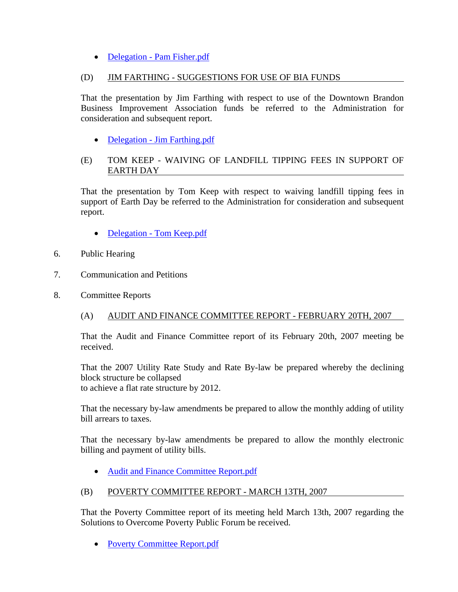# • Delegation - Pam Fisher.pdf

# (D) JIM FARTHING - SUGGESTIONS FOR USE OF BIA FUNDS

That the presentation by Jim Farthing with respect to use of the Downtown Brandon Business Improvement Association funds be referred to the Administration for consideration and subsequent report.

• Delegation - Jim Farthing.pdf

# (E) TOM KEEP - WAIVING OF LANDFILL TIPPING FEES IN SUPPORT OF EARTH DAY

That the presentation by Tom Keep with respect to waiving landfill tipping fees in support of Earth Day be referred to the Administration for consideration and subsequent report.

- Delegation Tom Keep.pdf
- 6. Public Hearing
- 7. Communication and Petitions
- 8. Committee Reports
	- (A) AUDIT AND FINANCE COMMITTEE REPORT FEBRUARY 20TH, 2007

That the Audit and Finance Committee report of its February 20th, 2007 meeting be received.

That the 2007 Utility Rate Study and Rate By-law be prepared whereby the declining block structure be collapsed to achieve a flat rate structure by 2012.

That the necessary by-law amendments be prepared to allow the monthly adding of utility bill arrears to taxes.

That the necessary by-law amendments be prepared to allow the monthly electronic billing and payment of utility bills.

• Audit and Finance Committee Report.pdf

# (B) POVERTY COMMITTEE REPORT - MARCH 13TH, 2007

That the Poverty Committee report of its meeting held March 13th, 2007 regarding the Solutions to Overcome Poverty Public Forum be received.

• Poverty Committee Report.pdf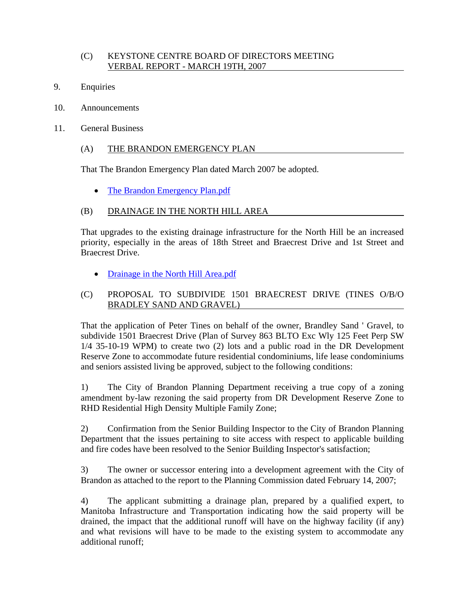# (C) KEYSTONE CENTRE BOARD OF DIRECTORS MEETING VERBAL REPORT - MARCH 19TH, 2007

- 9. Enquiries
- 10. Announcements
- 11. General Business

# (A) THE BRANDON EMERGENCY PLAN

That The Brandon Emergency Plan dated March 2007 be adopted.

• The Brandon Emergency Plan.pdf

# (B) DRAINAGE IN THE NORTH HILL AREA

That upgrades to the existing drainage infrastructure for the North Hill be an increased priority, especially in the areas of 18th Street and Braecrest Drive and 1st Street and Braecrest Drive.

• Drainage in the North Hill Area.pdf

# (C) PROPOSAL TO SUBDIVIDE 1501 BRAECREST DRIVE (TINES O/B/O BRADLEY SAND AND GRAVEL)

That the application of Peter Tines on behalf of the owner, Brandley Sand ' Gravel, to subdivide 1501 Braecrest Drive (Plan of Survey 863 BLTO Exc Wly 125 Feet Perp SW 1/4 35-10-19 WPM) to create two (2) lots and a public road in the DR Development Reserve Zone to accommodate future residential condominiums, life lease condominiums and seniors assisted living be approved, subject to the following conditions:

1) The City of Brandon Planning Department receiving a true copy of a zoning amendment by-law rezoning the said property from DR Development Reserve Zone to RHD Residential High Density Multiple Family Zone;

2) Confirmation from the Senior Building Inspector to the City of Brandon Planning Department that the issues pertaining to site access with respect to applicable building and fire codes have been resolved to the Senior Building Inspector's satisfaction;

3) The owner or successor entering into a development agreement with the City of Brandon as attached to the report to the Planning Commission dated February 14, 2007;

4) The applicant submitting a drainage plan, prepared by a qualified expert, to Manitoba Infrastructure and Transportation indicating how the said property will be drained, the impact that the additional runoff will have on the highway facility (if any) and what revisions will have to be made to the existing system to accommodate any additional runoff;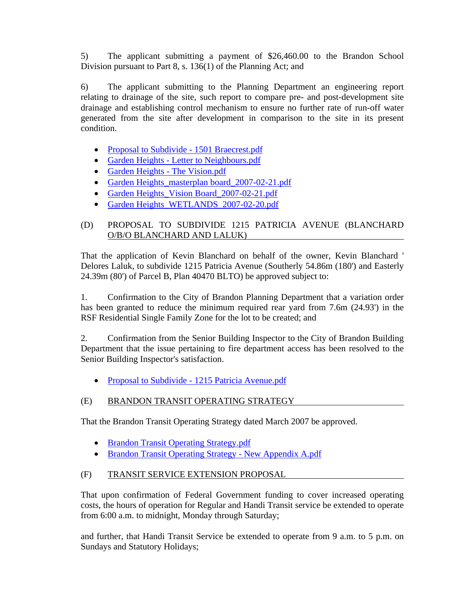5) The applicant submitting a payment of \$26,460.00 to the Brandon School Division pursuant to Part 8, s. 136(1) of the Planning Act; and

6) The applicant submitting to the Planning Department an engineering report relating to drainage of the site, such report to compare pre- and post-development site drainage and establishing control mechanism to ensure no further rate of run-off water generated from the site after development in comparison to the site in its present condition.

- Proposal to Subdivide 1501 Braecrest.pdf
- Garden Heights Letter to Neighbours.pdf
- Garden Heights The Vision.pdf
- Garden Heights\_masterplan board\_2007-02-21.pdf
- Garden Heights\_Vision Board\_2007-02-21.pdf
- Garden Heights\_WETLANDS\_2007-02-20.pdf

# (D) PROPOSAL TO SUBDIVIDE 1215 PATRICIA AVENUE (BLANCHARD O/B/O BLANCHARD AND LALUK)

That the application of Kevin Blanchard on behalf of the owner, Kevin Blanchard ' Delores Laluk, to subdivide 1215 Patricia Avenue (Southerly 54.86m (180') and Easterly 24.39m (80') of Parcel B, Plan 40470 BLTO) be approved subject to:

1. Confirmation to the City of Brandon Planning Department that a variation order has been granted to reduce the minimum required rear yard from 7.6m (24.93') in the RSF Residential Single Family Zone for the lot to be created; and

2. Confirmation from the Senior Building Inspector to the City of Brandon Building Department that the issue pertaining to fire department access has been resolved to the Senior Building Inspector's satisfaction.

• Proposal to Subdivide - 1215 Patricia Avenue.pdf

# (E) BRANDON TRANSIT OPERATING STRATEGY

That the Brandon Transit Operating Strategy dated March 2007 be approved.

- Brandon Transit Operating Strategy.pdf
- Brandon Transit Operating Strategy New Appendix A.pdf

# (F) TRANSIT SERVICE EXTENSION PROPOSAL

That upon confirmation of Federal Government funding to cover increased operating costs, the hours of operation for Regular and Handi Transit service be extended to operate from 6:00 a.m. to midnight, Monday through Saturday;

and further, that Handi Transit Service be extended to operate from 9 a.m. to 5 p.m. on Sundays and Statutory Holidays;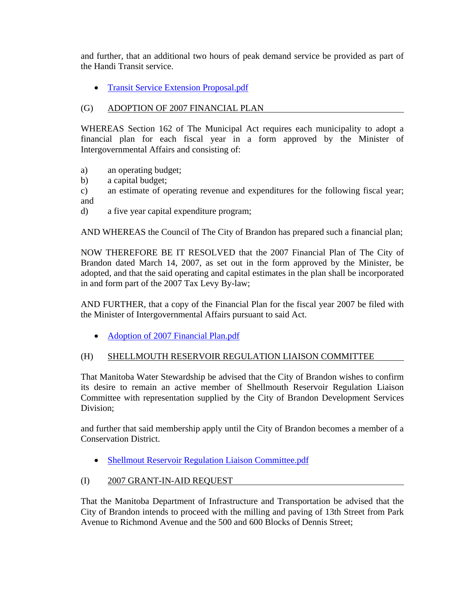and further, that an additional two hours of peak demand service be provided as part of the Handi Transit service.

• Transit Service Extension Proposal.pdf

# (G) ADOPTION OF 2007 FINANCIAL PLAN

WHEREAS Section 162 of The Municipal Act requires each municipality to adopt a financial plan for each fiscal year in a form approved by the Minister of Intergovernmental Affairs and consisting of:

- a) an operating budget;
- b) a capital budget;
- c) an estimate of operating revenue and expenditures for the following fiscal year; and
- d) a five year capital expenditure program;

AND WHEREAS the Council of The City of Brandon has prepared such a financial plan;

NOW THEREFORE BE IT RESOLVED that the 2007 Financial Plan of The City of Brandon dated March 14, 2007, as set out in the form approved by the Minister, be adopted, and that the said operating and capital estimates in the plan shall be incorporated in and form part of the 2007 Tax Levy By-law;

AND FURTHER, that a copy of the Financial Plan for the fiscal year 2007 be filed with the Minister of Intergovernmental Affairs pursuant to said Act.

• Adoption of 2007 Financial Plan.pdf

# (H) SHELLMOUTH RESERVOIR REGULATION LIAISON COMMITTEE

That Manitoba Water Stewardship be advised that the City of Brandon wishes to confirm its desire to remain an active member of Shellmouth Reservoir Regulation Liaison Committee with representation supplied by the City of Brandon Development Services Division;

and further that said membership apply until the City of Brandon becomes a member of a Conservation District.

• Shellmout Reservoir Regulation Liaison Committee.pdf

# (I) 2007 GRANT-IN-AID REQUEST

That the Manitoba Department of Infrastructure and Transportation be advised that the City of Brandon intends to proceed with the milling and paving of 13th Street from Park Avenue to Richmond Avenue and the 500 and 600 Blocks of Dennis Street;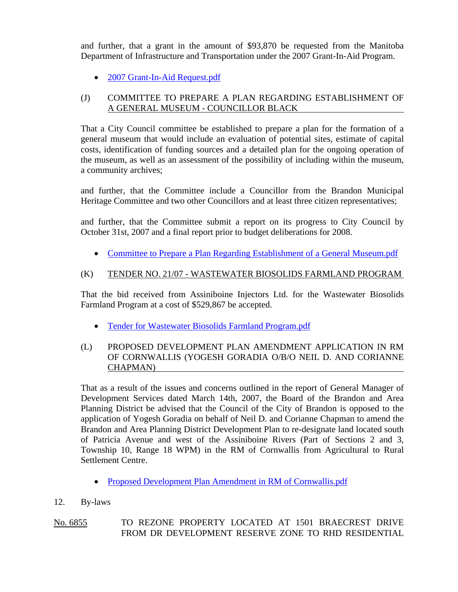and further, that a grant in the amount of \$93,870 be requested from the Manitoba Department of Infrastructure and Transportation under the 2007 Grant-In-Aid Program.

• 2007 Grant-In-Aid Request.pdf

# (J) COMMITTEE TO PREPARE A PLAN REGARDING ESTABLISHMENT OF A GENERAL MUSEUM - COUNCILLOR BLACK

That a City Council committee be established to prepare a plan for the formation of a general museum that would include an evaluation of potential sites, estimate of capital costs, identification of funding sources and a detailed plan for the ongoing operation of the museum, as well as an assessment of the possibility of including within the museum, a community archives;

and further, that the Committee include a Councillor from the Brandon Municipal Heritage Committee and two other Councillors and at least three citizen representatives;

and further, that the Committee submit a report on its progress to City Council by October 31st, 2007 and a final report prior to budget deliberations for 2008.

• Committee to Prepare a Plan Regarding Establishment of a General Museum.pdf

# (K) TENDER NO. 21/07 - WASTEWATER BIOSOLIDS FARMLAND PROGRAM

That the bid received from Assiniboine Injectors Ltd. for the Wastewater Biosolids Farmland Program at a cost of \$529,867 be accepted.

• Tender for Wastewater Biosolids Farmland Program.pdf

# (L) PROPOSED DEVELOPMENT PLAN AMENDMENT APPLICATION IN RM OF CORNWALLIS (YOGESH GORADIA O/B/O NEIL D. AND CORIANNE CHAPMAN)

That as a result of the issues and concerns outlined in the report of General Manager of Development Services dated March 14th, 2007, the Board of the Brandon and Area Planning District be advised that the Council of the City of Brandon is opposed to the application of Yogesh Goradia on behalf of Neil D. and Corianne Chapman to amend the Brandon and Area Planning District Development Plan to re-designate land located south of Patricia Avenue and west of the Assiniboine Rivers (Part of Sections 2 and 3, Township 10, Range 18 WPM) in the RM of Cornwallis from Agricultural to Rural Settlement Centre.

- Proposed Development Plan Amendment in RM of Cornwallis.pdf
- 12. By-laws

# No. 6855 TO REZONE PROPERTY LOCATED AT 1501 BRAECREST DRIVE FROM DR DEVELOPMENT RESERVE ZONE TO RHD RESIDENTIAL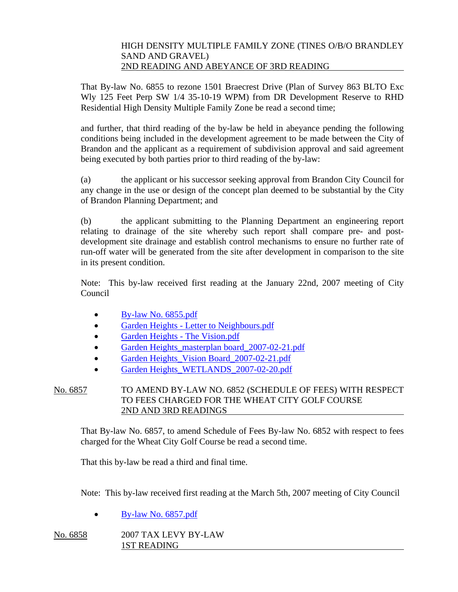#### HIGH DENSITY MULTIPLE FAMILY ZONE (TINES O/B/O BRANDLEY SAND AND GRAVEL) 2ND READING AND ABEYANCE OF 3RD READING

That By-law No. 6855 to rezone 1501 Braecrest Drive (Plan of Survey 863 BLTO Exc Wly 125 Feet Perp SW 1/4 35-10-19 WPM) from DR Development Reserve to RHD Residential High Density Multiple Family Zone be read a second time;

and further, that third reading of the by-law be held in abeyance pending the following conditions being included in the development agreement to be made between the City of Brandon and the applicant as a requirement of subdivision approval and said agreement being executed by both parties prior to third reading of the by-law:

(a) the applicant or his successor seeking approval from Brandon City Council for any change in the use or design of the concept plan deemed to be substantial by the City of Brandon Planning Department; and

(b) the applicant submitting to the Planning Department an engineering report relating to drainage of the site whereby such report shall compare pre- and postdevelopment site drainage and establish control mechanisms to ensure no further rate of run-off water will be generated from the site after development in comparison to the site in its present condition.

Note: This by-law received first reading at the January 22nd, 2007 meeting of City Council

- By-law No. 6855.pdf
- Garden Heights Letter to Neighbours.pdf
- Garden Heights The Vision.pdf
- Garden Heights masterplan board 2007-02-21.pdf
- Garden Heights Vision Board 2007-02-21.pdf
- Garden Heights\_WETLANDS\_2007-02-20.pdf

# No. 6857 TO AMEND BY-LAW NO. 6852 (SCHEDULE OF FEES) WITH RESPECT TO FEES CHARGED FOR THE WHEAT CITY GOLF COURSE 2ND AND 3RD READINGS

That By-law No. 6857, to amend Schedule of Fees By-law No. 6852 with respect to fees charged for the Wheat City Golf Course be read a second time.

That this by-law be read a third and final time.

Note: This by-law received first reading at the March 5th, 2007 meeting of City Council

• By-law No. 6857.pdf

No. 6858 2007 TAX LEVY BY-LAW 1ST READING